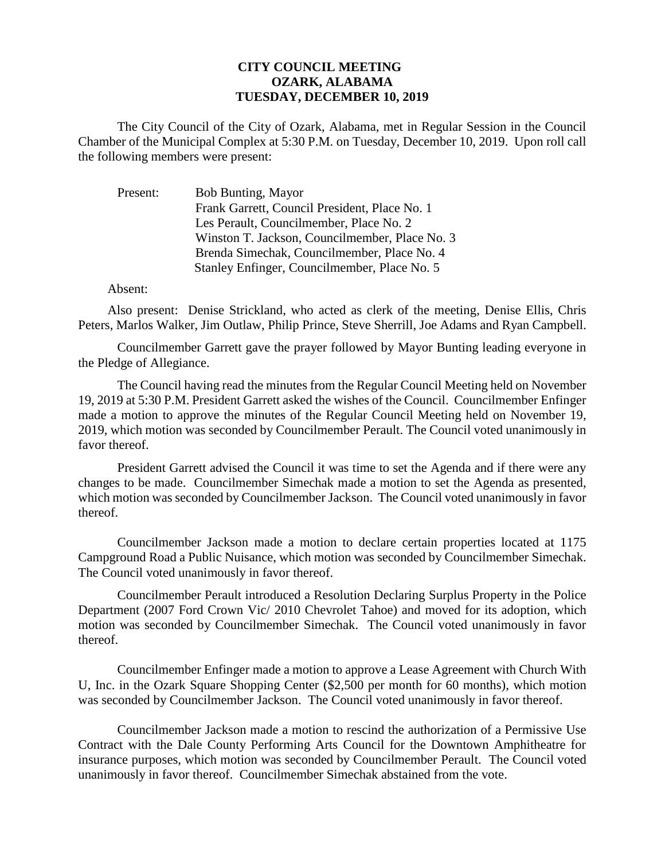## **CITY COUNCIL MEETING OZARK, ALABAMA TUESDAY, DECEMBER 10, 2019**

The City Council of the City of Ozark, Alabama, met in Regular Session in the Council Chamber of the Municipal Complex at 5:30 P.M. on Tuesday, December 10, 2019. Upon roll call the following members were present:

| Present: | Bob Bunting, Mayor                             |
|----------|------------------------------------------------|
|          | Frank Garrett, Council President, Place No. 1  |
|          | Les Perault, Councilmember, Place No. 2        |
|          | Winston T. Jackson, Councilmember, Place No. 3 |
|          | Brenda Simechak, Councilmember, Place No. 4    |
|          | Stanley Enfinger, Councilmember, Place No. 5   |

## Absent:

Also present: Denise Strickland, who acted as clerk of the meeting, Denise Ellis, Chris Peters, Marlos Walker, Jim Outlaw, Philip Prince, Steve Sherrill, Joe Adams and Ryan Campbell.

Councilmember Garrett gave the prayer followed by Mayor Bunting leading everyone in the Pledge of Allegiance.

The Council having read the minutes from the Regular Council Meeting held on November 19, 2019 at 5:30 P.M. President Garrett asked the wishes of the Council. Councilmember Enfinger made a motion to approve the minutes of the Regular Council Meeting held on November 19, 2019, which motion was seconded by Councilmember Perault. The Council voted unanimously in favor thereof.

President Garrett advised the Council it was time to set the Agenda and if there were any changes to be made. Councilmember Simechak made a motion to set the Agenda as presented, which motion was seconded by Councilmember Jackson. The Council voted unanimously in favor thereof.

Councilmember Jackson made a motion to declare certain properties located at 1175 Campground Road a Public Nuisance, which motion was seconded by Councilmember Simechak. The Council voted unanimously in favor thereof.

Councilmember Perault introduced a Resolution Declaring Surplus Property in the Police Department (2007 Ford Crown Vic/ 2010 Chevrolet Tahoe) and moved for its adoption, which motion was seconded by Councilmember Simechak. The Council voted unanimously in favor thereof.

Councilmember Enfinger made a motion to approve a Lease Agreement with Church With U, Inc. in the Ozark Square Shopping Center (\$2,500 per month for 60 months), which motion was seconded by Councilmember Jackson. The Council voted unanimously in favor thereof.

Councilmember Jackson made a motion to rescind the authorization of a Permissive Use Contract with the Dale County Performing Arts Council for the Downtown Amphitheatre for insurance purposes, which motion was seconded by Councilmember Perault. The Council voted unanimously in favor thereof. Councilmember Simechak abstained from the vote.